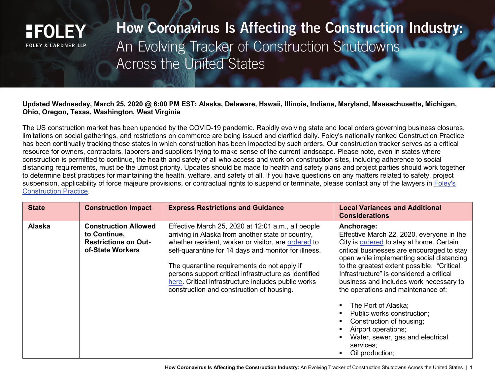

How Coronavirus Is Affecting the Construction Industry: An Evolving Tracker of Construction Shutdowns **Across the United States** 

## **Updated Wednesday, March 25, 2020 @ 6:00 PM EST: Alaska, Delaware, Hawaii, Illinois, Indiana, Maryland, Massachusetts, Michigan, Ohio, Oregon, Texas, Washington, West Virginia**

The US construction market has been upended by the COVID-19 pandemic. Rapidly evolving state and local orders governing business closures, limitations on social gatherings, and restrictions on commerce are being issued and clarified daily. Foley's nationally ranked Construction Practice has been continually tracking those states in which construction has been impacted by such orders. Our construction tracker serves as a critical resource for owners, contractors, laborers and suppliers trying to make sense of the current landscape. Please note, even in states where construction is permitted to continue, the health and safety of all who access and work on construction sites, including adherence to social distancing requirements, must be the utmost priority. Updates should be made to health and safety plans and project parties should work together to determine best practices for maintaining the health, welfare, and safety of all. If you have questions on any matters related to safety, project suspension, applicability of force majeure provisions, or contractual rights to suspend or terminate, please contact any of the lawyers in [Foley's](https://www.foley.com/en/services/practice-areas/litigation/construction)  [Construction Practice.](https://www.foley.com/en/services/practice-areas/litigation/construction)

| <b>State</b>  | <b>Construction Impact</b>                                                                     | <b>Express Restrictions and Guidance</b>                                                                                                                                                                                                                                                                                                                                                                                           | <b>Local Variances and Additional</b><br><b>Considerations</b>                                                                                                                                                                                                                                                                                                                                                                                                                                                                                        |
|---------------|------------------------------------------------------------------------------------------------|------------------------------------------------------------------------------------------------------------------------------------------------------------------------------------------------------------------------------------------------------------------------------------------------------------------------------------------------------------------------------------------------------------------------------------|-------------------------------------------------------------------------------------------------------------------------------------------------------------------------------------------------------------------------------------------------------------------------------------------------------------------------------------------------------------------------------------------------------------------------------------------------------------------------------------------------------------------------------------------------------|
| <b>Alaska</b> | <b>Construction Allowed</b><br>to Continue,<br><b>Restrictions on Out-</b><br>of-State Workers | Effective March 25, 2020 at 12:01 a.m., all people<br>arriving in Alaska from another state or country,<br>whether resident, worker or visitor, are ordered to<br>self-quarantine for 14 days and monitor for illness.<br>The quarantine requirements do not apply if<br>persons support critical infrastructure as identified<br>here. Critical infrastructure includes public works<br>construction and construction of housing. | Anchorage:<br>Effective March 22, 2020, everyone in the<br>City is ordered to stay at home. Certain<br>critical businesses are encouraged to stay<br>open while implementing social distancing<br>to the greatest extent possible. "Critical<br>Infrastructure" is considered a critical<br>business and includes work necessary to<br>the operations and maintenance of:<br>The Port of Alaska;<br>Public works construction;<br>Construction of housing;<br>Airport operations;<br>Water, sewer, gas and electrical<br>services;<br>Oil production; |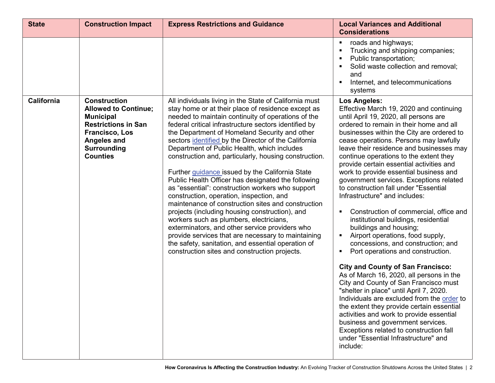| <b>State</b> | <b>Construction Impact</b>                                                                                                                                                                   | <b>Express Restrictions and Guidance</b>                                                                                                                                                                                                                                                                                                                                                                                                                                                                                                                                                                                                                                                                                                                                                                                                                                                                                                                                                                                | <b>Local Variances and Additional</b><br><b>Considerations</b>                                                                                                                                                                                                                                                                                                                                                                                                                                                                                                                                                                                                                                                                                                                                                                                                                                                                                                                                                                                                                                                                                                                                                               |
|--------------|----------------------------------------------------------------------------------------------------------------------------------------------------------------------------------------------|-------------------------------------------------------------------------------------------------------------------------------------------------------------------------------------------------------------------------------------------------------------------------------------------------------------------------------------------------------------------------------------------------------------------------------------------------------------------------------------------------------------------------------------------------------------------------------------------------------------------------------------------------------------------------------------------------------------------------------------------------------------------------------------------------------------------------------------------------------------------------------------------------------------------------------------------------------------------------------------------------------------------------|------------------------------------------------------------------------------------------------------------------------------------------------------------------------------------------------------------------------------------------------------------------------------------------------------------------------------------------------------------------------------------------------------------------------------------------------------------------------------------------------------------------------------------------------------------------------------------------------------------------------------------------------------------------------------------------------------------------------------------------------------------------------------------------------------------------------------------------------------------------------------------------------------------------------------------------------------------------------------------------------------------------------------------------------------------------------------------------------------------------------------------------------------------------------------------------------------------------------------|
|              |                                                                                                                                                                                              |                                                                                                                                                                                                                                                                                                                                                                                                                                                                                                                                                                                                                                                                                                                                                                                                                                                                                                                                                                                                                         | roads and highways;<br>Trucking and shipping companies;<br>Public transportation;<br>Solid waste collection and removal;<br>and<br>Internet, and telecommunications<br>systems                                                                                                                                                                                                                                                                                                                                                                                                                                                                                                                                                                                                                                                                                                                                                                                                                                                                                                                                                                                                                                               |
| California   | <b>Construction</b><br><b>Allowed to Continue;</b><br><b>Municipal</b><br><b>Restrictions in San</b><br><b>Francisco, Los</b><br><b>Angeles and</b><br><b>Surrounding</b><br><b>Counties</b> | All individuals living in the State of California must<br>stay home or at their place of residence except as<br>needed to maintain continuity of operations of the<br>federal critical infrastructure sectors identified by<br>the Department of Homeland Security and other<br>sectors identified by the Director of the California<br>Department of Public Health, which includes<br>construction and, particularly, housing construction.<br>Further guidance issued by the California State<br>Public Health Officer has designated the following<br>as "essential": construction workers who support<br>construction, operation, inspection, and<br>maintenance of construction sites and construction<br>projects (including housing construction), and<br>workers such as plumbers, electricians,<br>exterminators, and other service providers who<br>provide services that are necessary to maintaining<br>the safety, sanitation, and essential operation of<br>construction sites and construction projects. | <b>Los Angeles:</b><br>Effective March 19, 2020 and continuing<br>until April 19, 2020, all persons are<br>ordered to remain in their home and all<br>businesses within the City are ordered to<br>cease operations. Persons may lawfully<br>leave their residence and businesses may<br>continue operations to the extent they<br>provide certain essential activities and<br>work to provide essential business and<br>government services. Exceptions related<br>to construction fall under "Essential<br>Infrastructure" and includes:<br>Construction of commercial, office and<br>institutional buildings, residential<br>buildings and housing;<br>Airport operations, food supply,<br>concessions, and construction; and<br>Port operations and construction.<br><b>City and County of San Francisco:</b><br>As of March 16, 2020, all persons in the<br>City and County of San Francisco must<br>"shelter in place" until April 7, 2020.<br>Individuals are excluded from the order to<br>the extent they provide certain essential<br>activities and work to provide essential<br>business and government services.<br>Exceptions related to construction fall<br>under "Essential Infrastructure" and<br>include: |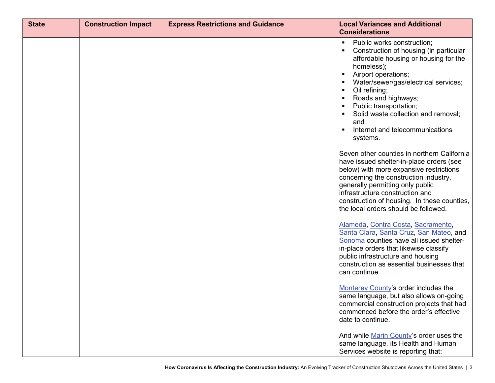| <b>State</b> | <b>Construction Impact</b> | <b>Express Restrictions and Guidance</b> | <b>Local Variances and Additional</b><br><b>Considerations</b>                                                                                                                                                                                                                                                                                                              |
|--------------|----------------------------|------------------------------------------|-----------------------------------------------------------------------------------------------------------------------------------------------------------------------------------------------------------------------------------------------------------------------------------------------------------------------------------------------------------------------------|
|              |                            |                                          | Public works construction;<br>Construction of housing (in particular<br>affordable housing or housing for the<br>homeless);<br>Airport operations;<br>$\blacksquare$<br>Water/sewer/gas/electrical services;<br>Oil refining;<br>Roads and highways;<br>Public transportation;<br>Solid waste collection and removal;<br>and<br>Internet and telecommunications<br>systems. |
|              |                            |                                          | Seven other counties in northern California<br>have issued shelter-in-place orders (see<br>below) with more expansive restrictions<br>concerning the construction industry,<br>generally permitting only public<br>infrastructure construction and<br>construction of housing. In these counties,<br>the local orders should be followed.                                   |
|              |                            |                                          | Alameda, Contra Costa, Sacramento,<br>Santa Clara, Santa Cruz, San Mateo, and<br>Sonoma counties have all issued shelter-<br>in-place orders that likewise classify<br>public infrastructure and housing<br>construction as essential businesses that<br>can continue.                                                                                                      |
|              |                            |                                          | Monterey County's order includes the<br>same language, but also allows on-going<br>commercial construction projects that had<br>commenced before the order's effective<br>date to continue.                                                                                                                                                                                 |
|              |                            |                                          | And while Marin County's order uses the<br>same language, its Health and Human<br>Services website is reporting that:                                                                                                                                                                                                                                                       |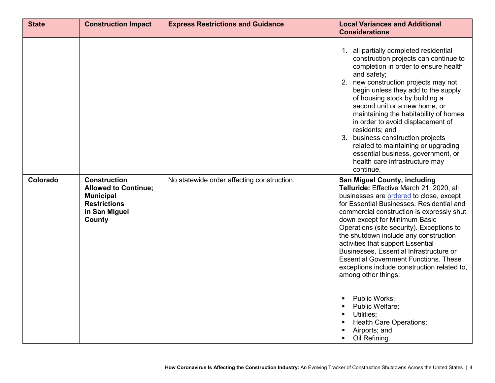| <b>State</b> | <b>Construction Impact</b>                                                                                               | <b>Express Restrictions and Guidance</b>   | <b>Local Variances and Additional</b><br><b>Considerations</b>                                                                                                                                                                                                                                                                                                                                                                                                                                                                                                                                                                                                                                                  |
|--------------|--------------------------------------------------------------------------------------------------------------------------|--------------------------------------------|-----------------------------------------------------------------------------------------------------------------------------------------------------------------------------------------------------------------------------------------------------------------------------------------------------------------------------------------------------------------------------------------------------------------------------------------------------------------------------------------------------------------------------------------------------------------------------------------------------------------------------------------------------------------------------------------------------------------|
|              |                                                                                                                          |                                            | 1. all partially completed residential<br>construction projects can continue to<br>completion in order to ensure health<br>and safety;<br>2. new construction projects may not<br>begin unless they add to the supply<br>of housing stock by building a<br>second unit or a new home, or<br>maintaining the habitability of homes<br>in order to avoid displacement of<br>residents; and<br>3. business construction projects<br>related to maintaining or upgrading<br>essential business, government, or<br>health care infrastructure may<br>continue.                                                                                                                                                       |
| Colorado     | <b>Construction</b><br><b>Allowed to Continue;</b><br><b>Municipal</b><br><b>Restrictions</b><br>in San Miguel<br>County | No statewide order affecting construction. | San Miguel County, including<br>Telluride: Effective March 21, 2020, all<br>businesses are ordered to close, except<br>for Essential Businesses. Residential and<br>commercial construction is expressly shut<br>down except for Minimum Basic<br>Operations (site security). Exceptions to<br>the shutdown include any construction<br>activities that support Essential<br>Businesses, Essential Infrastructure or<br><b>Essential Government Functions. These</b><br>exceptions include construction related to,<br>among other things:<br>Public Works;<br>$\blacksquare$<br>Public Welfare;<br>Utilities;<br>$\blacksquare$<br>Health Care Operations;<br>Airports; and<br>Oil Refining.<br>$\blacksquare$ |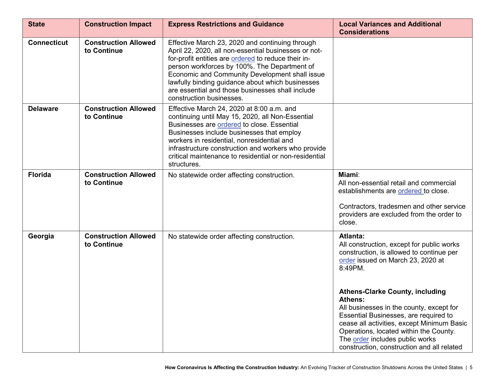| <b>State</b>       | <b>Construction Impact</b>                 | <b>Express Restrictions and Guidance</b>                                                                                                                                                                                                                                                                                                                                                             | <b>Local Variances and Additional</b><br><b>Considerations</b>                                                                                                                                                                                                                                                  |
|--------------------|--------------------------------------------|------------------------------------------------------------------------------------------------------------------------------------------------------------------------------------------------------------------------------------------------------------------------------------------------------------------------------------------------------------------------------------------------------|-----------------------------------------------------------------------------------------------------------------------------------------------------------------------------------------------------------------------------------------------------------------------------------------------------------------|
| <b>Connecticut</b> | <b>Construction Allowed</b><br>to Continue | Effective March 23, 2020 and continuing through<br>April 22, 2020, all non-essential businesses or not-<br>for-profit entities are ordered to reduce their in-<br>person workforces by 100%. The Department of<br>Economic and Community Development shall issue<br>lawfully binding guidance about which businesses<br>are essential and those businesses shall include<br>construction businesses. |                                                                                                                                                                                                                                                                                                                 |
| <b>Delaware</b>    | <b>Construction Allowed</b><br>to Continue | Effective March 24, 2020 at 8:00 a.m. and<br>continuing until May 15, 2020, all Non-Essential<br>Businesses are ordered to close. Essential<br>Businesses include businesses that employ<br>workers in residential, nonresidential and<br>infrastructure construction and workers who provide<br>critical maintenance to residential or non-residential<br>structures.                               |                                                                                                                                                                                                                                                                                                                 |
| <b>Florida</b>     | <b>Construction Allowed</b><br>to Continue | No statewide order affecting construction.                                                                                                                                                                                                                                                                                                                                                           | Miami:<br>All non-essential retail and commercial<br>establishments are ordered to close.<br>Contractors, tradesmen and other service<br>providers are excluded from the order to<br>close.                                                                                                                     |
| Georgia            | <b>Construction Allowed</b><br>to Continue | No statewide order affecting construction.                                                                                                                                                                                                                                                                                                                                                           | <b>Atlanta:</b><br>All construction, except for public works<br>construction, is allowed to continue per<br>order issued on March 23, 2020 at<br>8:49PM.                                                                                                                                                        |
|                    |                                            |                                                                                                                                                                                                                                                                                                                                                                                                      | <b>Athens-Clarke County, including</b><br>Athens:<br>All businesses in the county, except for<br>Essential Businesses, are required to<br>cease all activities, except Minimum Basic<br>Operations, located within the County.<br>The order includes public works<br>construction, construction and all related |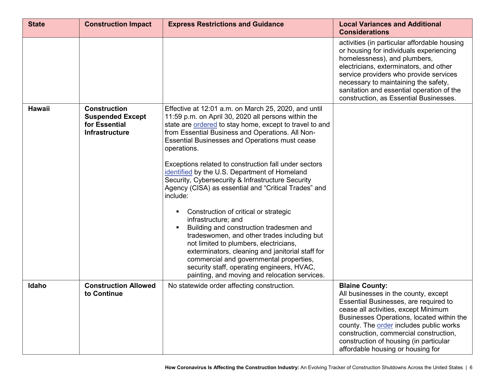| <b>State</b>  | <b>Construction Impact</b>                                                               | <b>Express Restrictions and Guidance</b>                                                                                                                                                                                                                                                                                                                                                                                                                                                                                                                                                                                                                                                                                                                                                                                                                                                                                                | <b>Local Variances and Additional</b><br><b>Considerations</b>                                                                                                                                                                                                                                                                                                  |
|---------------|------------------------------------------------------------------------------------------|-----------------------------------------------------------------------------------------------------------------------------------------------------------------------------------------------------------------------------------------------------------------------------------------------------------------------------------------------------------------------------------------------------------------------------------------------------------------------------------------------------------------------------------------------------------------------------------------------------------------------------------------------------------------------------------------------------------------------------------------------------------------------------------------------------------------------------------------------------------------------------------------------------------------------------------------|-----------------------------------------------------------------------------------------------------------------------------------------------------------------------------------------------------------------------------------------------------------------------------------------------------------------------------------------------------------------|
|               |                                                                                          |                                                                                                                                                                                                                                                                                                                                                                                                                                                                                                                                                                                                                                                                                                                                                                                                                                                                                                                                         | activities (in particular affordable housing<br>or housing for individuals experiencing<br>homelessness), and plumbers,<br>electricians, exterminators, and other<br>service providers who provide services<br>necessary to maintaining the safety,<br>sanitation and essential operation of the<br>construction, as Essential Businesses.                      |
| <b>Hawaii</b> | <b>Construction</b><br><b>Suspended Except</b><br>for Essential<br><b>Infrastructure</b> | Effective at 12:01 a.m. on March 25, 2020, and until<br>11:59 p.m. on April 30, 2020 all persons within the<br>state are ordered to stay home, except to travel to and<br>from Essential Business and Operations. All Non-<br><b>Essential Businesses and Operations must cease</b><br>operations.<br>Exceptions related to construction fall under sectors<br>identified by the U.S. Department of Homeland<br>Security, Cybersecurity & Infrastructure Security<br>Agency (CISA) as essential and "Critical Trades" and<br>include:<br>Construction of critical or strategic<br>infrastructure; and<br>Building and construction tradesmen and<br>tradeswomen, and other trades including but<br>not limited to plumbers, electricians,<br>exterminators, cleaning and janitorial staff for<br>commercial and governmental properties,<br>security staff, operating engineers, HVAC,<br>painting, and moving and relocation services. |                                                                                                                                                                                                                                                                                                                                                                 |
| Idaho         | <b>Construction Allowed</b><br>to Continue                                               | No statewide order affecting construction.                                                                                                                                                                                                                                                                                                                                                                                                                                                                                                                                                                                                                                                                                                                                                                                                                                                                                              | <b>Blaine County:</b><br>All businesses in the county, except<br>Essential Businesses, are required to<br>cease all activities, except Minimum<br>Businesses Operations, located within the<br>county. The order includes public works<br>construction, commercial construction,<br>construction of housing (in particular<br>affordable housing or housing for |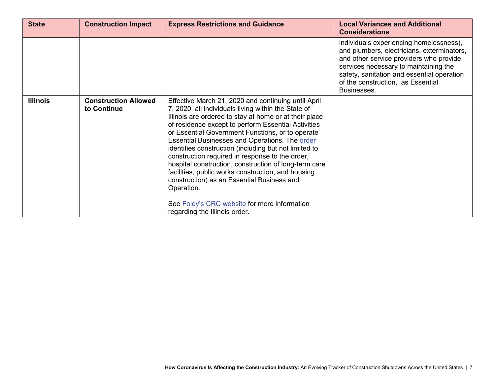| <b>State</b>    | <b>Construction Impact</b>                 | <b>Express Restrictions and Guidance</b>                                                                                                                                                                                                                                                                                                                                                                                                                                                                                                                                                                                                                                                                  | <b>Local Variances and Additional</b><br><b>Considerations</b>                                                                                                                                                                                                              |
|-----------------|--------------------------------------------|-----------------------------------------------------------------------------------------------------------------------------------------------------------------------------------------------------------------------------------------------------------------------------------------------------------------------------------------------------------------------------------------------------------------------------------------------------------------------------------------------------------------------------------------------------------------------------------------------------------------------------------------------------------------------------------------------------------|-----------------------------------------------------------------------------------------------------------------------------------------------------------------------------------------------------------------------------------------------------------------------------|
|                 |                                            |                                                                                                                                                                                                                                                                                                                                                                                                                                                                                                                                                                                                                                                                                                           | individuals experiencing homelessness),<br>and plumbers, electricians, exterminators,<br>and other service providers who provide<br>services necessary to maintaining the<br>safety, sanitation and essential operation<br>of the construction, as Essential<br>Businesses. |
| <b>Illinois</b> | <b>Construction Allowed</b><br>to Continue | Effective March 21, 2020 and continuing until April<br>7, 2020, all individuals living within the State of<br>Illinois are ordered to stay at home or at their place<br>of residence except to perform Essential Activities<br>or Essential Government Functions, or to operate<br>Essential Businesses and Operations. The order<br>identifies construction (including but not limited to<br>construction required in response to the order,<br>hospital construction, construction of long-term care<br>facilities, public works construction, and housing<br>construction) as an Essential Business and<br>Operation.<br>See Foley's CRC website for more information<br>regarding the Illinois order. |                                                                                                                                                                                                                                                                             |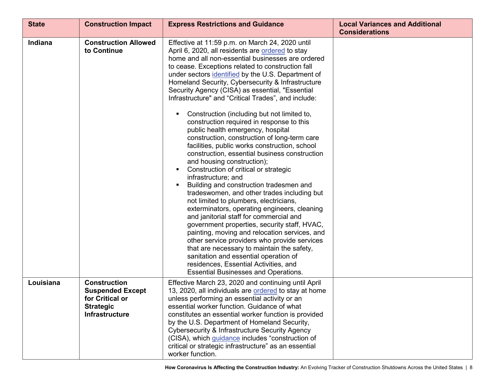| <b>State</b>   | <b>Construction Impact</b>                                                                                     | <b>Express Restrictions and Guidance</b>                                                                                                                                                                                                                                                                                                                                                                                                                                                                                                                                                                                                                                                                                                                                                                                                                                                                                                                                                                                                                                                                                                                                                                                                                                                                                                                                           | <b>Local Variances and Additional</b><br><b>Considerations</b> |
|----------------|----------------------------------------------------------------------------------------------------------------|------------------------------------------------------------------------------------------------------------------------------------------------------------------------------------------------------------------------------------------------------------------------------------------------------------------------------------------------------------------------------------------------------------------------------------------------------------------------------------------------------------------------------------------------------------------------------------------------------------------------------------------------------------------------------------------------------------------------------------------------------------------------------------------------------------------------------------------------------------------------------------------------------------------------------------------------------------------------------------------------------------------------------------------------------------------------------------------------------------------------------------------------------------------------------------------------------------------------------------------------------------------------------------------------------------------------------------------------------------------------------------|----------------------------------------------------------------|
| <b>Indiana</b> | <b>Construction Allowed</b><br>to Continue                                                                     | Effective at 11:59 p.m. on March 24, 2020 until<br>April 6, 2020, all residents are ordered to stay<br>home and all non-essential businesses are ordered<br>to cease. Exceptions related to construction fall<br>under sectors identified by the U.S. Department of<br>Homeland Security, Cybersecurity & Infrastructure<br>Security Agency (CISA) as essential, "Essential<br>Infrastructure" and "Critical Trades", and include:<br>Construction (including but not limited to,<br>construction required in response to this<br>public health emergency, hospital<br>construction, construction of long-term care<br>facilities, public works construction, school<br>construction, essential business construction<br>and housing construction);<br>Construction of critical or strategic<br>infrastructure; and<br>Building and construction tradesmen and<br>tradeswomen, and other trades including but<br>not limited to plumbers, electricians,<br>exterminators, operating engineers, cleaning<br>and janitorial staff for commercial and<br>government properties, security staff, HVAC,<br>painting, moving and relocation services, and<br>other service providers who provide services<br>that are necessary to maintain the safety,<br>sanitation and essential operation of<br>residences, Essential Activities, and<br><b>Essential Businesses and Operations.</b> |                                                                |
| Louisiana      | <b>Construction</b><br><b>Suspended Except</b><br>for Critical or<br><b>Strategic</b><br><b>Infrastructure</b> | Effective March 23, 2020 and continuing until April<br>13, 2020, all individuals are ordered to stay at home<br>unless performing an essential activity or an<br>essential worker function. Guidance of what<br>constitutes an essential worker function is provided<br>by the U.S. Department of Homeland Security,<br>Cybersecurity & Infrastructure Security Agency<br>(CISA), which guidance includes "construction of<br>critical or strategic infrastructure" as an essential<br>worker function.                                                                                                                                                                                                                                                                                                                                                                                                                                                                                                                                                                                                                                                                                                                                                                                                                                                                            |                                                                |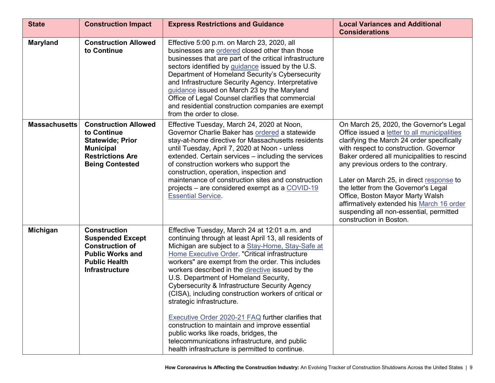| <b>State</b>         | <b>Construction Impact</b>                                                                                                                     | <b>Express Restrictions and Guidance</b>                                                                                                                                                                                                                                                                                                                                                                                                                                                                                                                                                                                                                                                                                                                      | <b>Local Variances and Additional</b><br><b>Considerations</b>                                                                                                                                                                                                                                                                                                                                                                                                                                                    |
|----------------------|------------------------------------------------------------------------------------------------------------------------------------------------|---------------------------------------------------------------------------------------------------------------------------------------------------------------------------------------------------------------------------------------------------------------------------------------------------------------------------------------------------------------------------------------------------------------------------------------------------------------------------------------------------------------------------------------------------------------------------------------------------------------------------------------------------------------------------------------------------------------------------------------------------------------|-------------------------------------------------------------------------------------------------------------------------------------------------------------------------------------------------------------------------------------------------------------------------------------------------------------------------------------------------------------------------------------------------------------------------------------------------------------------------------------------------------------------|
| <b>Maryland</b>      | <b>Construction Allowed</b><br>to Continue                                                                                                     | Effective 5:00 p.m. on March 23, 2020, all<br>businesses are ordered closed other than those<br>businesses that are part of the critical infrastructure<br>sectors identified by guidance issued by the U.S.<br>Department of Homeland Security's Cybersecurity<br>and Infrastructure Security Agency. Interpretative<br>guidance issued on March 23 by the Maryland<br>Office of Legal Counsel clarifies that commercial<br>and residential construction companies are exempt<br>from the order to close.                                                                                                                                                                                                                                                    |                                                                                                                                                                                                                                                                                                                                                                                                                                                                                                                   |
| <b>Massachusetts</b> | <b>Construction Allowed</b><br>to Continue<br><b>Statewide; Prior</b><br><b>Municipal</b><br><b>Restrictions Are</b><br><b>Being Contested</b> | Effective Tuesday, March 24, 2020 at Noon,<br>Governor Charlie Baker has ordered a statewide<br>stay-at-home directive for Massachusetts residents<br>until Tuesday, April 7, 2020 at Noon - unless<br>extended. Certain services - including the services<br>of construction workers who support the<br>construction, operation, inspection and<br>maintenance of construction sites and construction<br>projects – are considered exempt as a COVID-19<br><b>Essential Service.</b>                                                                                                                                                                                                                                                                         | On March 25, 2020, the Governor's Legal<br>Office issued a letter to all municipalities<br>clarifying the March 24 order specifically<br>with respect to construction. Governor<br>Baker ordered all municipalities to rescind<br>any previous orders to the contrary.<br>Later on March 25, in direct response to<br>the letter from the Governor's Legal<br>Office, Boston Mayor Marty Walsh<br>affirmatively extended his March 16 order<br>suspending all non-essential, permitted<br>construction in Boston. |
| Michigan             | <b>Construction</b><br><b>Suspended Except</b><br><b>Construction of</b><br><b>Public Works and</b><br><b>Public Health</b><br>Infrastructure  | Effective Tuesday, March 24 at 12:01 a.m. and<br>continuing through at least April 13, all residents of<br>Michigan are subject to a Stay-Home, Stay-Safe at<br>Home Executive Order. "Critical infrastructure<br>workers" are exempt from the order. This includes<br>workers described in the directive issued by the<br>U.S. Department of Homeland Security,<br>Cybersecurity & Infrastructure Security Agency<br>(CISA), including construction workers of critical or<br>strategic infrastructure.<br>Executive Order 2020-21 FAQ further clarifies that<br>construction to maintain and improve essential<br>public works like roads, bridges, the<br>telecommunications infrastructure, and public<br>health infrastructure is permitted to continue. |                                                                                                                                                                                                                                                                                                                                                                                                                                                                                                                   |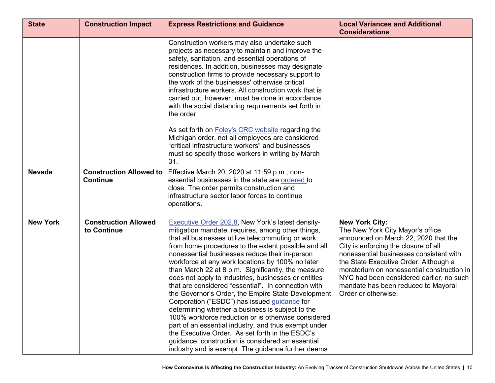| <b>State</b>    | <b>Construction Impact</b>                        | <b>Express Restrictions and Guidance</b>                                                                                                                                                                                                                                                                                                                                                                                                                                                                                                                                                                                                                                                                                                                                                                                                                                                                                                    | <b>Local Variances and Additional</b><br><b>Considerations</b>                                                                                                                                                                                                                                                                                                                        |
|-----------------|---------------------------------------------------|---------------------------------------------------------------------------------------------------------------------------------------------------------------------------------------------------------------------------------------------------------------------------------------------------------------------------------------------------------------------------------------------------------------------------------------------------------------------------------------------------------------------------------------------------------------------------------------------------------------------------------------------------------------------------------------------------------------------------------------------------------------------------------------------------------------------------------------------------------------------------------------------------------------------------------------------|---------------------------------------------------------------------------------------------------------------------------------------------------------------------------------------------------------------------------------------------------------------------------------------------------------------------------------------------------------------------------------------|
|                 |                                                   | Construction workers may also undertake such<br>projects as necessary to maintain and improve the<br>safety, sanitation, and essential operations of<br>residences. In addition, businesses may designate<br>construction firms to provide necessary support to<br>the work of the businesses' otherwise critical<br>infrastructure workers. All construction work that is<br>carried out, however, must be done in accordance<br>with the social distancing requirements set forth in<br>the order.                                                                                                                                                                                                                                                                                                                                                                                                                                        |                                                                                                                                                                                                                                                                                                                                                                                       |
|                 |                                                   | As set forth on <b>Foley's CRC</b> website regarding the<br>Michigan order, not all employees are considered<br>"critical infrastructure workers" and businesses<br>must so specify those workers in writing by March<br>31.                                                                                                                                                                                                                                                                                                                                                                                                                                                                                                                                                                                                                                                                                                                |                                                                                                                                                                                                                                                                                                                                                                                       |
| <b>Nevada</b>   | <b>Construction Allowed to</b><br><b>Continue</b> | Effective March 20, 2020 at 11:59 p.m., non-<br>essential businesses in the state are ordered to<br>close. The order permits construction and<br>infrastructure sector labor forces to continue<br>operations.                                                                                                                                                                                                                                                                                                                                                                                                                                                                                                                                                                                                                                                                                                                              |                                                                                                                                                                                                                                                                                                                                                                                       |
| <b>New York</b> | <b>Construction Allowed</b><br>to Continue        | <b>Executive Order 202.8, New York's latest density-</b><br>mitigation mandate, requires, among other things,<br>that all businesses utilize telecommuting or work<br>from home procedures to the extent possible and all<br>nonessential businesses reduce their in-person<br>workforce at any work locations by 100% no later<br>than March 22 at 8 p.m. Significantly, the measure<br>does not apply to industries, businesses or entities<br>that are considered "essential". In connection with<br>the Governor's Order, the Empire State Development<br>Corporation ("ESDC") has issued guidance for<br>determining whether a business is subject to the<br>100% workforce reduction or is otherwise considered<br>part of an essential industry, and thus exempt under<br>the Executive Order. As set forth in the ESDC's<br>quidance, construction is considered an essential<br>industry and is exempt. The guidance further deems | <b>New York City:</b><br>The New York City Mayor's office<br>announced on March 22, 2020 that the<br>City is enforcing the closure of all<br>nonessential businesses consistent with<br>the State Executive Order. Although a<br>moratorium on nonessential construction in<br>NYC had been considered earlier, no such<br>mandate has been reduced to Mayoral<br>Order or otherwise. |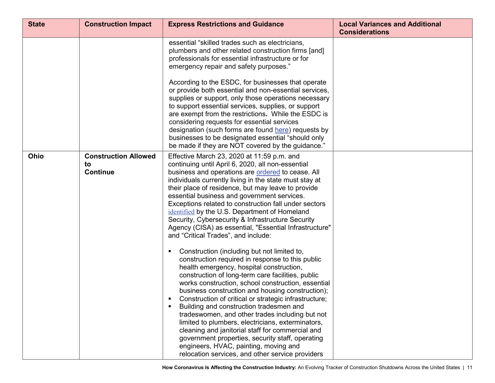| <b>State</b> | <b>Construction Impact</b>                           | <b>Express Restrictions and Guidance</b>                                                                                                                                                                                                                                                                                                                                                                                                                                                                                                                                                                                                                                                                                                                                                                                                                                                                                                                                                                                                                                                                                                                                                                                                                                                                                                         | <b>Local Variances and Additional</b><br><b>Considerations</b> |
|--------------|------------------------------------------------------|--------------------------------------------------------------------------------------------------------------------------------------------------------------------------------------------------------------------------------------------------------------------------------------------------------------------------------------------------------------------------------------------------------------------------------------------------------------------------------------------------------------------------------------------------------------------------------------------------------------------------------------------------------------------------------------------------------------------------------------------------------------------------------------------------------------------------------------------------------------------------------------------------------------------------------------------------------------------------------------------------------------------------------------------------------------------------------------------------------------------------------------------------------------------------------------------------------------------------------------------------------------------------------------------------------------------------------------------------|----------------------------------------------------------------|
|              |                                                      | essential "skilled trades such as electricians,<br>plumbers and other related construction firms [and]<br>professionals for essential infrastructure or for<br>emergency repair and safety purposes."<br>According to the ESDC, for businesses that operate<br>or provide both essential and non-essential services,<br>supplies or support, only those operations necessary<br>to support essential services, supplies, or support<br>are exempt from the restrictions. While the ESDC is<br>considering requests for essential services<br>designation (such forms are found here) requests by<br>businesses to be designated essential "should only<br>be made if they are NOT covered by the guidance."                                                                                                                                                                                                                                                                                                                                                                                                                                                                                                                                                                                                                                      |                                                                |
| <b>Ohio</b>  | <b>Construction Allowed</b><br>to<br><b>Continue</b> | Effective March 23, 2020 at 11:59 p.m. and<br>continuing until April 6, 2020, all non-essential<br>business and operations are ordered to cease. All<br>individuals currently living in the state must stay at<br>their place of residence, but may leave to provide<br>essential business and government services.<br>Exceptions related to construction fall under sectors<br><i>identified</i> by the U.S. Department of Homeland<br>Security, Cybersecurity & Infrastructure Security<br>Agency (CISA) as essential, "Essential Infrastructure"<br>and "Critical Trades", and include:<br>Construction (including but not limited to,<br>п<br>construction required in response to this public<br>health emergency, hospital construction,<br>construction of long-term care facilities, public<br>works construction, school construction, essential<br>business construction and housing construction);<br>Construction of critical or strategic infrastructure;<br>Building and construction tradesmen and<br>$\blacksquare$<br>tradeswomen, and other trades including but not<br>limited to plumbers, electricians, exterminators,<br>cleaning and janitorial staff for commercial and<br>government properties, security staff, operating<br>engineers, HVAC, painting, moving and<br>relocation services, and other service providers |                                                                |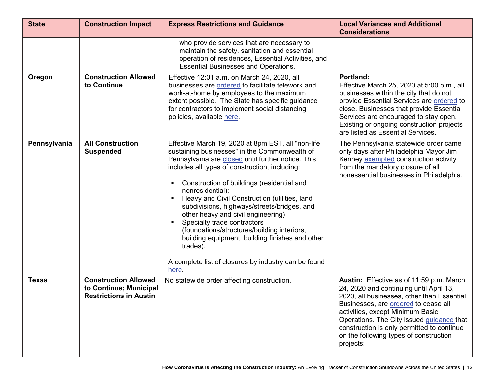| <b>State</b> | <b>Construction Impact</b>                                                             | <b>Express Restrictions and Guidance</b>                                                                                                                                                                                                                                                                                                                                                                                                                                                                                                                                                                                          | <b>Local Variances and Additional</b><br><b>Considerations</b>                                                                                                                                                                                                                                                                                                  |
|--------------|----------------------------------------------------------------------------------------|-----------------------------------------------------------------------------------------------------------------------------------------------------------------------------------------------------------------------------------------------------------------------------------------------------------------------------------------------------------------------------------------------------------------------------------------------------------------------------------------------------------------------------------------------------------------------------------------------------------------------------------|-----------------------------------------------------------------------------------------------------------------------------------------------------------------------------------------------------------------------------------------------------------------------------------------------------------------------------------------------------------------|
|              |                                                                                        | who provide services that are necessary to<br>maintain the safety, sanitation and essential<br>operation of residences, Essential Activities, and<br><b>Essential Businesses and Operations.</b>                                                                                                                                                                                                                                                                                                                                                                                                                                  |                                                                                                                                                                                                                                                                                                                                                                 |
| Oregon       | <b>Construction Allowed</b><br>to Continue                                             | Effective 12:01 a.m. on March 24, 2020, all<br>businesses are ordered to facilitate telework and<br>work-at-home by employees to the maximum<br>extent possible. The State has specific guidance<br>for contractors to implement social distancing<br>policies, available here.                                                                                                                                                                                                                                                                                                                                                   | Portland:<br>Effective March 25, 2020 at 5:00 p.m., all<br>businesses within the city that do not<br>provide Essential Services are ordered to<br>close. Businesses that provide Essential<br>Services are encouraged to stay open.<br>Existing or ongoing construction projects<br>are listed as Essential Services.                                           |
| Pennsylvania | <b>All Construction</b><br><b>Suspended</b>                                            | Effective March 19, 2020 at 8pm EST, all "non-life<br>sustaining businesses" in the Commonwealth of<br>Pennsylvania are closed until further notice. This<br>includes all types of construction, including:<br>Construction of buildings (residential and<br>nonresidential);<br>Heavy and Civil Construction (utilities, land<br>subdivisions, highways/streets/bridges, and<br>other heavy and civil engineering)<br>Specialty trade contractors<br>(foundations/structures/building interiors,<br>building equipment, building finishes and other<br>trades).<br>A complete list of closures by industry can be found<br>here. | The Pennsylvania statewide order came<br>only days after Philadelphia Mayor Jim<br>Kenney exempted construction activity<br>from the mandatory closure of all<br>nonessential businesses in Philadelphia.                                                                                                                                                       |
| <b>Texas</b> | <b>Construction Allowed</b><br>to Continue; Municipal<br><b>Restrictions in Austin</b> | No statewide order affecting construction.                                                                                                                                                                                                                                                                                                                                                                                                                                                                                                                                                                                        | Austin: Effective as of 11:59 p.m. March<br>24, 2020 and continuing until April 13,<br>2020, all businesses, other than Essential<br>Businesses, are ordered to cease all<br>activities, except Minimum Basic<br>Operations. The City issued guidance that<br>construction is only permitted to continue<br>on the following types of construction<br>projects: |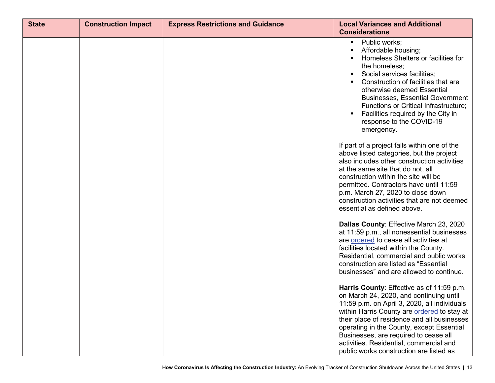| <b>State</b> | <b>Construction Impact</b> | <b>Express Restrictions and Guidance</b> | <b>Local Variances and Additional</b><br><b>Considerations</b>                                                                                                                                                                                                                                                                                                                                                 |
|--------------|----------------------------|------------------------------------------|----------------------------------------------------------------------------------------------------------------------------------------------------------------------------------------------------------------------------------------------------------------------------------------------------------------------------------------------------------------------------------------------------------------|
|              |                            |                                          | Public works;<br>Affordable housing;<br>Homeless Shelters or facilities for<br>the homeless;<br>Social services facilities;<br>Construction of facilities that are<br>otherwise deemed Essential<br><b>Businesses, Essential Government</b><br>Functions or Critical Infrastructure;<br>Facilities required by the City in<br>response to the COVID-19<br>emergency.                                           |
|              |                            |                                          | If part of a project falls within one of the<br>above listed categories, but the project<br>also includes other construction activities<br>at the same site that do not, all<br>construction within the site will be<br>permitted. Contractors have until 11:59<br>p.m. March 27, 2020 to close down<br>construction activities that are not deemed<br>essential as defined above.                             |
|              |                            |                                          | Dallas County: Effective March 23, 2020<br>at 11:59 p.m., all nonessential businesses<br>are ordered to cease all activities at<br>facilities located within the County.<br>Residential, commercial and public works<br>construction are listed as "Essential<br>businesses" and are allowed to continue.                                                                                                      |
|              |                            |                                          | Harris County: Effective as of 11:59 p.m.<br>on March 24, 2020, and continuing until<br>11:59 p.m. on April 3, 2020, all individuals<br>within Harris County are ordered to stay at<br>their place of residence and all businesses<br>operating in the County, except Essential<br>Businesses, are required to cease all<br>activities. Residential, commercial and<br>public works construction are listed as |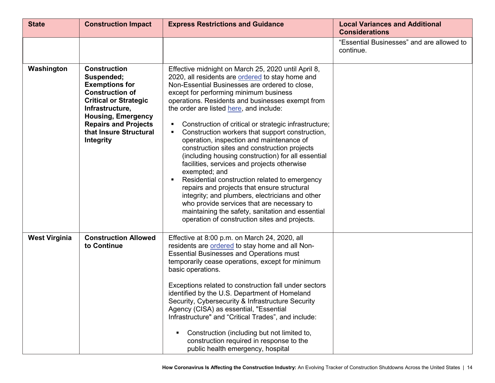| <b>State</b>         | <b>Construction Impact</b>                                                                                                                                                                                                                 | <b>Express Restrictions and Guidance</b>                                                                                                                                                                                                                                                                                                                                                                                                                                                                                                                                                                                                                                                                                                                                                                                                                                                                                               | <b>Local Variances and Additional</b><br><b>Considerations</b> |
|----------------------|--------------------------------------------------------------------------------------------------------------------------------------------------------------------------------------------------------------------------------------------|----------------------------------------------------------------------------------------------------------------------------------------------------------------------------------------------------------------------------------------------------------------------------------------------------------------------------------------------------------------------------------------------------------------------------------------------------------------------------------------------------------------------------------------------------------------------------------------------------------------------------------------------------------------------------------------------------------------------------------------------------------------------------------------------------------------------------------------------------------------------------------------------------------------------------------------|----------------------------------------------------------------|
|                      |                                                                                                                                                                                                                                            |                                                                                                                                                                                                                                                                                                                                                                                                                                                                                                                                                                                                                                                                                                                                                                                                                                                                                                                                        | "Essential Businesses" and are allowed to<br>continue.         |
| Washington           | <b>Construction</b><br>Suspended;<br><b>Exemptions for</b><br><b>Construction of</b><br><b>Critical or Strategic</b><br>Infrastructure,<br><b>Housing, Emergency</b><br><b>Repairs and Projects</b><br>that Insure Structural<br>Integrity | Effective midnight on March 25, 2020 until April 8,<br>2020, all residents are ordered to stay home and<br>Non-Essential Businesses are ordered to close,<br>except for performing minimum business<br>operations. Residents and businesses exempt from<br>the order are listed here, and include:<br>Construction of critical or strategic infrastructure;<br>Construction workers that support construction,<br>operation, inspection and maintenance of<br>construction sites and construction projects<br>(including housing construction) for all essential<br>facilities, services and projects otherwise<br>exempted; and<br>Residential construction related to emergency<br>repairs and projects that ensure structural<br>integrity; and plumbers, electricians and other<br>who provide services that are necessary to<br>maintaining the safety, sanitation and essential<br>operation of construction sites and projects. |                                                                |
| <b>West Virginia</b> | <b>Construction Allowed</b><br>to Continue                                                                                                                                                                                                 | Effective at 8:00 p.m. on March 24, 2020, all<br>residents are ordered to stay home and all Non-<br><b>Essential Businesses and Operations must</b><br>temporarily cease operations, except for minimum<br>basic operations.<br>Exceptions related to construction fall under sectors<br>identified by the U.S. Department of Homeland<br>Security, Cybersecurity & Infrastructure Security<br>Agency (CISA) as essential, "Essential<br>Infrastructure" and "Critical Trades", and include:<br>Construction (including but not limited to,<br>construction required in response to the<br>public health emergency, hospital                                                                                                                                                                                                                                                                                                           |                                                                |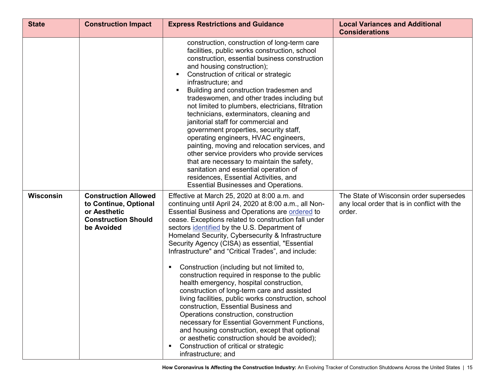| <b>State</b> | <b>Construction Impact</b>                                                                                       | <b>Express Restrictions and Guidance</b>                                                                                                                                                                                                                                                                                                                                                                                                                                                                                                                                                                                                                                                                                                                                                                                                                                                                                                                                                                           | <b>Local Variances and Additional</b><br><b>Considerations</b>                                    |
|--------------|------------------------------------------------------------------------------------------------------------------|--------------------------------------------------------------------------------------------------------------------------------------------------------------------------------------------------------------------------------------------------------------------------------------------------------------------------------------------------------------------------------------------------------------------------------------------------------------------------------------------------------------------------------------------------------------------------------------------------------------------------------------------------------------------------------------------------------------------------------------------------------------------------------------------------------------------------------------------------------------------------------------------------------------------------------------------------------------------------------------------------------------------|---------------------------------------------------------------------------------------------------|
|              |                                                                                                                  | construction, construction of long-term care<br>facilities, public works construction, school<br>construction, essential business construction<br>and housing construction);<br>Construction of critical or strategic<br>infrastructure; and<br>Building and construction tradesmen and<br>tradeswomen, and other trades including but<br>not limited to plumbers, electricians, filtration<br>technicians, exterminators, cleaning and<br>janitorial staff for commercial and<br>government properties, security staff,<br>operating engineers, HVAC engineers,<br>painting, moving and relocation services, and<br>other service providers who provide services<br>that are necessary to maintain the safety,<br>sanitation and essential operation of<br>residences, Essential Activities, and<br><b>Essential Businesses and Operations.</b>                                                                                                                                                                   |                                                                                                   |
| Wisconsin    | <b>Construction Allowed</b><br>to Continue, Optional<br>or Aesthetic<br><b>Construction Should</b><br>be Avoided | Effective at March 25, 2020 at 8:00 a.m. and<br>continuing until April 24, 2020 at 8:00 a.m., all Non-<br>Essential Business and Operations are ordered to<br>cease. Exceptions related to construction fall under<br>sectors identified by the U.S. Department of<br>Homeland Security, Cybersecurity & Infrastructure<br>Security Agency (CISA) as essential, "Essential<br>Infrastructure" and "Critical Trades", and include:<br>Construction (including but not limited to,<br>п<br>construction required in response to the public<br>health emergency, hospital construction,<br>construction of long-term care and assisted<br>living facilities, public works construction, school<br>construction, Essential Business and<br>Operations construction, construction<br>necessary for Essential Government Functions,<br>and housing construction, except that optional<br>or aesthetic construction should be avoided);<br>Construction of critical or strategic<br>$\blacksquare$<br>infrastructure; and | The State of Wisconsin order supersedes<br>any local order that is in conflict with the<br>order. |